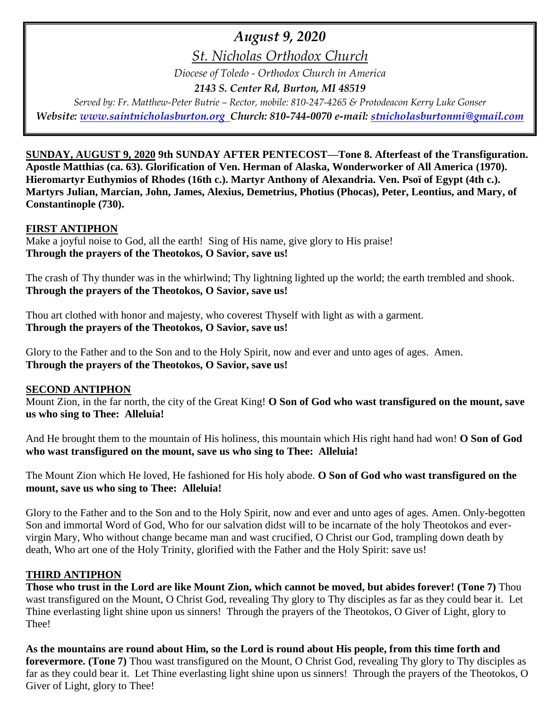# *August 9, 2020*

*St. Nicholas Orthodox Church*

*Diocese of Toledo - Orthodox Church in America*

*2143 S. Center Rd, Burton, MI 48519*

*Served by: Fr. Matthew-Peter Butrie – Rector, mobile: 810-247-4265 & Protodeacon Kerry Luke Gonser Website: [www.saintnicholasburton.org](http://www.saintnicholasburton.org/) Church: 810-744-0070 e-mail: [stnicholasburtonmi@gmail.com](mailto:stnicholasburtonmi@gmail.com)*

**SUNDAY, AUGUST 9, 2020 9th SUNDAY AFTER PENTECOST—Tone 8. Afterfeast of the Transfiguration. Apostle Matthias (ca. 63). Glorification of Ven. Herman of Alaska, Wonderworker of All America (1970). Hieromartyr Euthymios of Rhodes (16th c.). Martyr Anthony of Alexandria. Ven. Psoï of Egypt (4th c.). Martyrs Julian, Marcian, John, James, Alexius, Demetrius, Photius (Phocas), Peter, Leontius, and Mary, of Constantinople (730).**

### **FIRST ANTIPHON**

Make a joyful noise to God, all the earth! Sing of His name, give glory to His praise! **Through the prayers of the Theotokos, O Savior, save us!**

The crash of Thy thunder was in the whirlwind; Thy lightning lighted up the world; the earth trembled and shook. **Through the prayers of the Theotokos, O Savior, save us!**

Thou art clothed with honor and majesty, who coverest Thyself with light as with a garment. **Through the prayers of the Theotokos, O Savior, save us!**

Glory to the Father and to the Son and to the Holy Spirit, now and ever and unto ages of ages. Amen. **Through the prayers of the Theotokos, O Savior, save us!**

#### **SECOND ANTIPHON**

Mount Zion, in the far north, the city of the Great King! **O Son of God who wast transfigured on the mount, save us who sing to Thee: Alleluia!**

And He brought them to the mountain of His holiness, this mountain which His right hand had won! **O Son of God who wast transfigured on the mount, save us who sing to Thee: Alleluia!**

The Mount Zion which He loved, He fashioned for His holy abode. **O Son of God who wast transfigured on the mount, save us who sing to Thee: Alleluia!**

Glory to the Father and to the Son and to the Holy Spirit, now and ever and unto ages of ages. Amen. Only-begotten Son and immortal Word of God, Who for our salvation didst will to be incarnate of the holy Theotokos and evervirgin Mary, Who without change became man and wast crucified, O Christ our God, trampling down death by death, Who art one of the Holy Trinity, glorified with the Father and the Holy Spirit: save us!

#### **THIRD ANTIPHON**

**Those who trust in the Lord are like Mount Zion, which cannot be moved, but abides forever! (Tone 7)** Thou wast transfigured on the Mount, O Christ God, revealing Thy glory to Thy disciples as far as they could bear it. Let Thine everlasting light shine upon us sinners! Through the prayers of the Theotokos, O Giver of Light, glory to Thee!

**As the mountains are round about Him, so the Lord is round about His people, from this time forth and forevermore. (Tone 7)** Thou wast transfigured on the Mount, O Christ God, revealing Thy glory to Thy disciples as far as they could bear it. Let Thine everlasting light shine upon us sinners! Through the prayers of the Theotokos, O Giver of Light, glory to Thee!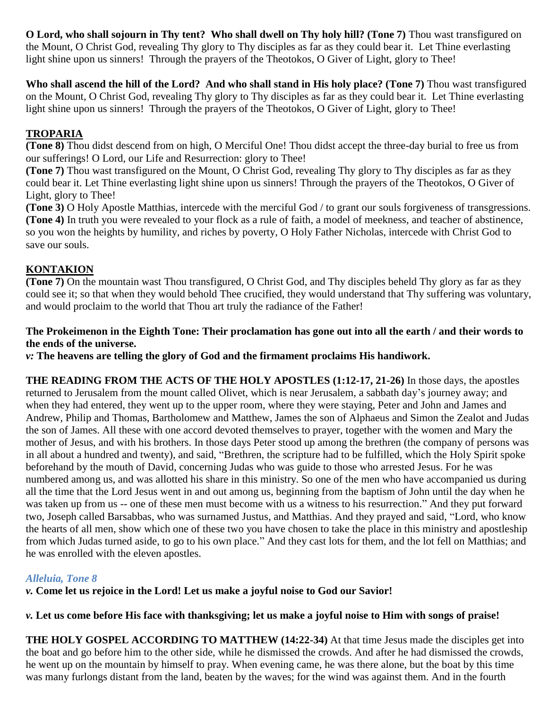**O Lord, who shall sojourn in Thy tent? Who shall dwell on Thy holy hill? (Tone 7)** Thou wast transfigured on the Mount, O Christ God, revealing Thy glory to Thy disciples as far as they could bear it. Let Thine everlasting light shine upon us sinners! Through the prayers of the Theotokos, O Giver of Light, glory to Thee!

Who shall ascend the hill of the Lord? And who shall stand in His holy place? (Tone 7) Thou wast transfigured on the Mount, O Christ God, revealing Thy glory to Thy disciples as far as they could bear it. Let Thine everlasting light shine upon us sinners! Through the prayers of the Theotokos, O Giver of Light, glory to Thee!

# **TROPARIA**

**(Tone 8)** Thou didst descend from on high, O Merciful One! Thou didst accept the three-day burial to free us from our sufferings! O Lord, our Life and Resurrection: glory to Thee!

**(Tone 7)** Thou wast transfigured on the Mount, O Christ God, revealing Thy glory to Thy disciples as far as they could bear it. Let Thine everlasting light shine upon us sinners! Through the prayers of the Theotokos, O Giver of Light, glory to Thee!

**(Tone 3)** O Holy Apostle Matthias, intercede with the merciful God / to grant our souls forgiveness of transgressions. **(Tone 4)** In truth you were revealed to your flock as a rule of faith, a model of meekness, and teacher of abstinence, so you won the heights by humility, and riches by poverty, O Holy Father Nicholas, intercede with Christ God to save our souls.

# **KONTAKION**

**(Tone 7)** On the mountain wast Thou transfigured, O Christ God, and Thy disciples beheld Thy glory as far as they could see it; so that when they would behold Thee crucified, they would understand that Thy suffering was voluntary, and would proclaim to the world that Thou art truly the radiance of the Father!

## **The Prokeimenon in the Eighth Tone: Their proclamation has gone out into all the earth / and their words to the ends of the universe.**

*v:* **The heavens are telling the glory of God and the firmament proclaims His handiwork.**

**THE READING FROM THE ACTS OF THE HOLY APOSTLES (1:12-17, 21-26)** In those days, the apostles returned to Jerusalem from the mount called Olivet, which is near Jerusalem, a sabbath day's journey away; and when they had entered, they went up to the upper room, where they were staying, Peter and John and James and Andrew, Philip and Thomas, Bartholomew and Matthew, James the son of Alphaeus and Simon the Zealot and Judas the son of James. All these with one accord devoted themselves to prayer, together with the women and Mary the mother of Jesus, and with his brothers. In those days Peter stood up among the brethren (the company of persons was in all about a hundred and twenty), and said, "Brethren, the scripture had to be fulfilled, which the Holy Spirit spoke beforehand by the mouth of David, concerning Judas who was guide to those who arrested Jesus. For he was numbered among us, and was allotted his share in this ministry. So one of the men who have accompanied us during all the time that the Lord Jesus went in and out among us, beginning from the baptism of John until the day when he was taken up from us -- one of these men must become with us a witness to his resurrection." And they put forward two, Joseph called Barsabbas, who was surnamed Justus, and Matthias. And they prayed and said, "Lord, who know the hearts of all men, show which one of these two you have chosen to take the place in this ministry and apostleship from which Judas turned aside, to go to his own place." And they cast lots for them, and the lot fell on Matthias; and he was enrolled with the eleven apostles.

# *Alleluia, Tone 8*

*v.* **Come let us rejoice in the Lord! Let us make a joyful noise to God our Savior!**

# *v.* **Let us come before His face with thanksgiving; let us make a joyful noise to Him with songs of praise!**

**THE HOLY GOSPEL ACCORDING TO MATTHEW (14:22-34)** At that time Jesus made the disciples get into the boat and go before him to the other side, while he dismissed the crowds. And after he had dismissed the crowds, he went up on the mountain by himself to pray. When evening came, he was there alone, but the boat by this time was many furlongs distant from the land, beaten by the waves; for the wind was against them. And in the fourth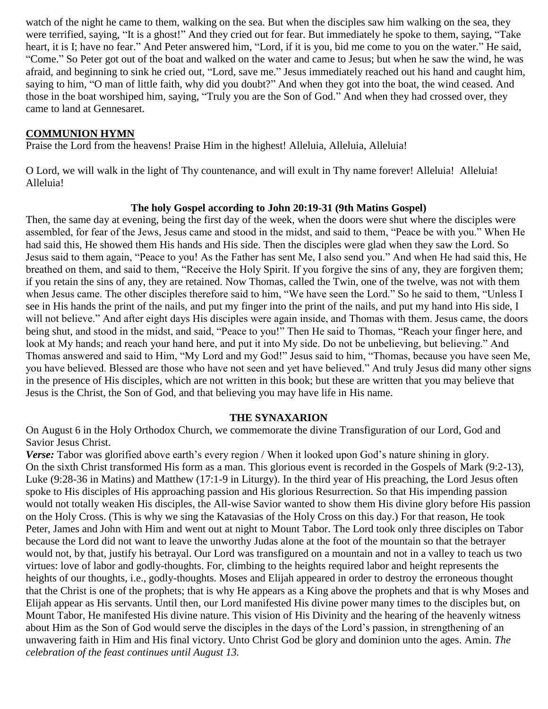watch of the night he came to them, walking on the sea. But when the disciples saw him walking on the sea, they were terrified, saying, "It is a ghost!" And they cried out for fear. But immediately he spoke to them, saying, "Take heart, it is I; have no fear." And Peter answered him, "Lord, if it is you, bid me come to you on the water." He said, "Come." So Peter got out of the boat and walked on the water and came to Jesus; but when he saw the wind, he was afraid, and beginning to sink he cried out, "Lord, save me." Jesus immediately reached out his hand and caught him, saying to him, "O man of little faith, why did you doubt?" And when they got into the boat, the wind ceased. And those in the boat worshiped him, saying, "Truly you are the Son of God." And when they had crossed over, they came to land at Gennesaret.

#### **COMMUNION HYMN**

Praise the Lord from the heavens! Praise Him in the highest! Alleluia, Alleluia, Alleluia!

O Lord, we will walk in the light of Thy countenance, and will exult in Thy name forever! Alleluia! Alleluia! Alleluia!

#### **The holy Gospel according to John 20:19-31 (9th Matins Gospel)**

Then, the same day at evening, being the first day of the week, when the doors were shut where the disciples were assembled, for fear of the Jews, Jesus came and stood in the midst, and said to them, "Peace be with you." When He had said this, He showed them His hands and His side. Then the disciples were glad when they saw the Lord. So Jesus said to them again, "Peace to you! As the Father has sent Me, I also send you." And when He had said this, He breathed on them, and said to them, "Receive the Holy Spirit. If you forgive the sins of any, they are forgiven them; if you retain the sins of any, they are retained. Now Thomas, called the Twin, one of the twelve, was not with them when Jesus came. The other disciples therefore said to him, "We have seen the Lord." So he said to them, "Unless I see in His hands the print of the nails, and put my finger into the print of the nails, and put my hand into His side, I will not believe." And after eight days His disciples were again inside, and Thomas with them. Jesus came, the doors being shut, and stood in the midst, and said, "Peace to you!" Then He said to Thomas, "Reach your finger here, and look at My hands; and reach your hand here, and put it into My side. Do not be unbelieving, but believing." And Thomas answered and said to Him, "My Lord and my God!" Jesus said to him, "Thomas, because you have seen Me, you have believed. Blessed are those who have not seen and yet have believed." And truly Jesus did many other signs in the presence of His disciples, which are not written in this book; but these are written that you may believe that Jesus is the Christ, the Son of God, and that believing you may have life in His name.

#### **THE SYNAXARION**

On August 6 in the Holy Orthodox Church, we commemorate the divine Transfiguration of our Lord, God and Savior Jesus Christ.

*Verse:* Tabor was glorified above earth's every region / When it looked upon God's nature shining in glory. On the sixth Christ transformed His form as a man. This glorious event is recorded in the Gospels of Mark (9:2-13), Luke (9:28-36 in Matins) and Matthew (17:1-9 in Liturgy). In the third year of His preaching, the Lord Jesus often spoke to His disciples of His approaching passion and His glorious Resurrection. So that His impending passion would not totally weaken His disciples, the All-wise Savior wanted to show them His divine glory before His passion on the Holy Cross. (This is why we sing the Katavasias of the Holy Cross on this day.) For that reason, He took Peter, James and John with Him and went out at night to Mount Tabor. The Lord took only three disciples on Tabor because the Lord did not want to leave the unworthy Judas alone at the foot of the mountain so that the betrayer would not, by that, justify his betrayal. Our Lord was transfigured on a mountain and not in a valley to teach us two virtues: love of labor and godly-thoughts. For, climbing to the heights required labor and height represents the heights of our thoughts, i.e., godly-thoughts. Moses and Elijah appeared in order to destroy the erroneous thought that the Christ is one of the prophets; that is why He appears as a King above the prophets and that is why Moses and Elijah appear as His servants. Until then, our Lord manifested His divine power many times to the disciples but, on Mount Tabor, He manifested His divine nature. This vision of His Divinity and the hearing of the heavenly witness about Him as the Son of God would serve the disciples in the days of the Lord's passion, in strengthening of an unwavering faith in Him and His final victory. Unto Christ God be glory and dominion unto the ages. Amin. *The celebration of the feast continues until August 13.*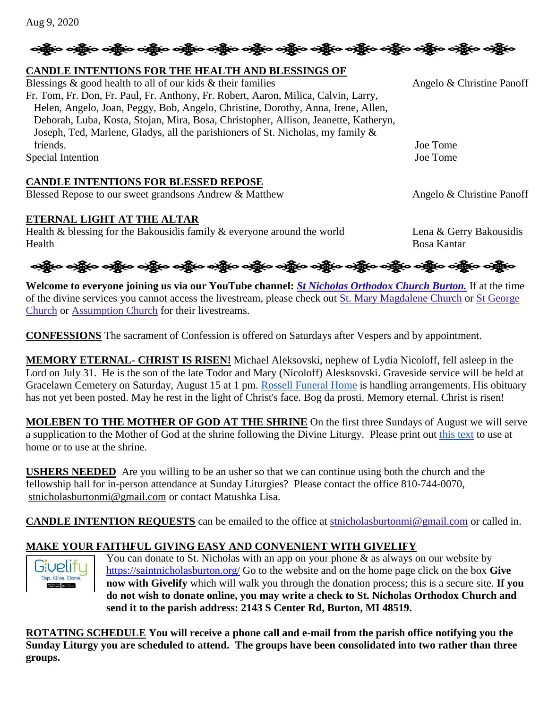# ဆို့ပြီးဝ ခန့်ပြီး ဝဆို့ပြီး ဝဆို့ပြီး ဝဆို့ပြီး ဝဆို့ပြီး ဝဆို့ပြီး ဝဆို့ပြီး ဝဆို့ပြီး ဝဆို့ပြီး ဝဆို့ပြီး ဝ

#### **CANDLE INTENTIONS FOR THE HEALTH AND BLESSINGS OF**

Blessings  $\&$  good health to all of our kids  $\&$  their families Angelo  $\&$  Christine Panoff Fr. Tom, Fr. Don, Fr. Paul, Fr. Anthony, Fr. Robert, Aaron, Milica, Calvin, Larry, Helen, Angelo, Joan, Peggy, Bob, Angelo, Christine, Dorothy, Anna, Irene, Allen, Deborah, Luba, Kosta, Stojan, Mira, Bosa, Christopher, Allison, Jeanette, Katheryn, Joseph, Ted, Marlene, Gladys, all the parishioners of St. Nicholas, my family & friends. Joe Tome Special Intention Joe Tome

#### **CANDLE INTENTIONS FOR BLESSED REPOSE**

Blessed Repose to our sweet grandsons Andrew & Matthew Angelo & Christine Panoff

#### **ETERNAL LIGHT AT THE ALTAR**

Health & blessing for the Bakousidis family & everyone around the world Lena & Gerry Bakousidis Health Bosa Kantar

**Welcome to everyone joining us via our YouTube channel:** *[St Nicholas Orthodox Church Burton.](https://www.youtube.com/channel/UC59tV-Re443z-GCoETAUvfA)* If at the time of the divine services you cannot access the livestream, please check out [St. Mary Magdalene Church](https://www.youtube.com/channel/UClHAqZrWkXdYELujbbIslHg) or [St George](https://www.youtube.com/channel/UCpLWfxMIJK4uQOV41ekE6Wg/videos?view=2&flow=grid)  [Church](https://www.youtube.com/channel/UCpLWfxMIJK4uQOV41ekE6Wg/videos?view=2&flow=grid) or [Assumption Church](https://www.facebook.com/AssumptionGrandBlanc/) for their livestreams.

**CONFESSIONS** The sacrament of Confession is offered on Saturdays after Vespers and by appointment.

**MEMORY ETERNAL- CHRIST IS RISEN!** Michael Aleksovski, nephew of Lydia Nicoloff, fell asleep in the Lord on July 31. He is the son of the late Todor and Mary (Nicoloff) Alesksovski. Graveside service will be held at Gracelawn Cemetery on Saturday, August 15 at 1 pm. [Rossell Funeral Home](https://www.rossellfuneralhomeinc.com/) is handling arrangements. His obituary has not yet been posted. May he rest in the light of Christ's face. Bog da prosti. Memory eternal. Christ is risen!

**MOLEBEN TO THE MOTHER OF GOD AT THE SHRINE** On the first three Sundays of August we will serve a supplication to the Mother of God at the shrine following the Divine Liturgy. Please print out [this text](https://saintnicholasburton.org/files/MolebenTheotokos-2020-small-with-music.pdf) to use at home or to use at the shrine.

**USHERS NEEDED** Are you willing to be an usher so that we can continue using both the church and the fellowship hall for in-person attendance at Sunday Liturgies? Please contact the office 810-744-0070, [stnicholasburtonmi@gmail.com](mailto:stnicholasburtonmi@gmail.com) or contact Matushka Lisa.

**CANDLE INTENTION REQUESTS** can be emailed to the office at [stnicholasburtonmi@gmail.com](mailto:stnicholasburtonmi@gmail.com) or called in.

#### **MAKE YOUR FAITHFUL GIVING EASY AND CONVENIENT WITH GIVELIFY**



You can donate to St. Nicholas with an app on your phone  $\&$  as always on our website by <https://saintnicholasburton.org/> Go to the website and on the home page click on the box **Give now with Givelify** which will walk you through the donation process; this is a secure site. **If you do not wish to donate online, you may write a check to St. Nicholas Orthodox Church and send it to the parish address: 2143 S Center Rd, Burton, MI 48519.**

**ROTATING SCHEDULE You will receive a phone call and e-mail from the parish office notifying you the Sunday Liturgy you are scheduled to attend. The groups have been consolidated into two rather than three groups.**